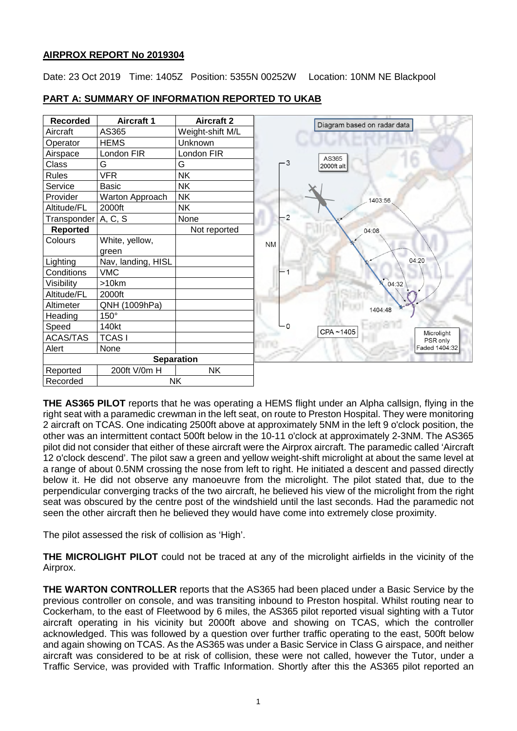# **AIRPROX REPORT No 2019304**

Date: 23 Oct 2019 Time: 1405Z Position: 5355N 00252W Location: 10NM NE Blackpool



#### **PART A: SUMMARY OF INFORMATION REPORTED TO UKAB**

**THE AS365 PILOT** reports that he was operating a HEMS flight under an Alpha callsign, flying in the right seat with a paramedic crewman in the left seat, on route to Preston Hospital. They were monitoring 2 aircraft on TCAS. One indicating 2500ft above at approximately 5NM in the left 9 o'clock position, the other was an intermittent contact 500ft below in the 10-11 o'clock at approximately 2-3NM. The AS365 pilot did not consider that either of these aircraft were the Airprox aircraft. The paramedic called 'Aircraft 12 o'clock descend'. The pilot saw a green and yellow weight-shift microlight at about the same level at a range of about 0.5NM crossing the nose from left to right. He initiated a descent and passed directly below it. He did not observe any manoeuvre from the microlight. The pilot stated that, due to the perpendicular converging tracks of the two aircraft, he believed his view of the microlight from the right seat was obscured by the centre post of the windshield until the last seconds. Had the paramedic not seen the other aircraft then he believed they would have come into extremely close proximity.

The pilot assessed the risk of collision as 'High'.

**THE MICROLIGHT PILOT** could not be traced at any of the microlight airfields in the vicinity of the Airprox.

**THE WARTON CONTROLLER** reports that the AS365 had been placed under a Basic Service by the previous controller on console, and was transiting inbound to Preston hospital. Whilst routing near to Cockerham, to the east of Fleetwood by 6 miles, the AS365 pilot reported visual sighting with a Tutor aircraft operating in his vicinity but 2000ft above and showing on TCAS, which the controller acknowledged. This was followed by a question over further traffic operating to the east, 500ft below and again showing on TCAS. As the AS365 was under a Basic Service in Class G airspace, and neither aircraft was considered to be at risk of collision, these were not called, however the Tutor, under a Traffic Service, was provided with Traffic Information. Shortly after this the AS365 pilot reported an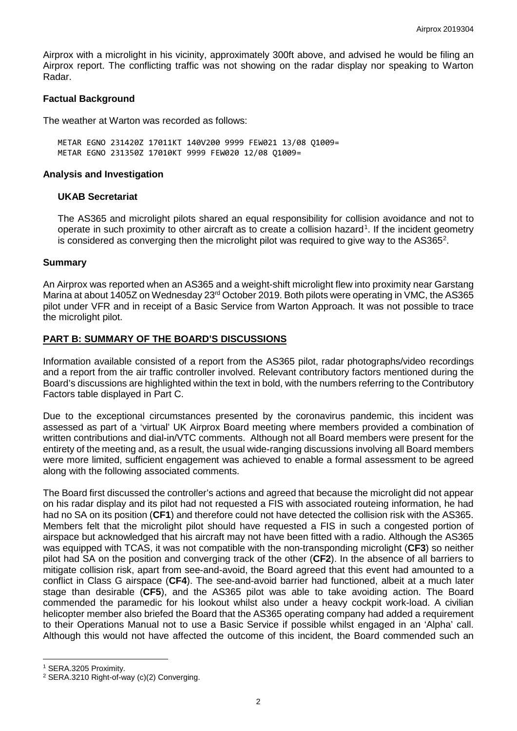Airprox with a microlight in his vicinity, approximately 300ft above, and advised he would be filing an Airprox report. The conflicting traffic was not showing on the radar display nor speaking to Warton Radar.

#### **Factual Background**

The weather at Warton was recorded as follows:

METAR EGNO 231420Z 17011KT 140V200 9999 FEW021 13/08 Q1009= METAR EGNO 231350Z 17010KT 9999 FEW020 12/08 Q1009=

#### **Analysis and Investigation**

#### **UKAB Secretariat**

The AS365 and microlight pilots shared an equal responsibility for collision avoidance and not to operate in such proximity to other aircraft as to create a collision hazard<sup>[1](#page-1-0)</sup>. If the incident geometry is considered as converging then the microlight pilot was required to give way to the AS365<sup>2</sup>.

#### **Summary**

An Airprox was reported when an AS365 and a weight-shift microlight flew into proximity near Garstang Marina at about 1405Z on Wednesday 23<sup>rd</sup> October 2019. Both pilots were operating in VMC, the AS365 pilot under VFR and in receipt of a Basic Service from Warton Approach. It was not possible to trace the microlight pilot.

# **PART B: SUMMARY OF THE BOARD'S DISCUSSIONS**

Information available consisted of a report from the AS365 pilot, radar photographs/video recordings and a report from the air traffic controller involved. Relevant contributory factors mentioned during the Board's discussions are highlighted within the text in bold, with the numbers referring to the Contributory Factors table displayed in Part C.

Due to the exceptional circumstances presented by the coronavirus pandemic, this incident was assessed as part of a 'virtual' UK Airprox Board meeting where members provided a combination of written contributions and dial-in/VTC comments. Although not all Board members were present for the entirety of the meeting and, as a result, the usual wide-ranging discussions involving all Board members were more limited, sufficient engagement was achieved to enable a formal assessment to be agreed along with the following associated comments.

The Board first discussed the controller's actions and agreed that because the microlight did not appear on his radar display and its pilot had not requested a FIS with associated routeing information, he had had no SA on its position (**CF1**) and therefore could not have detected the collision risk with the AS365. Members felt that the microlight pilot should have requested a FIS in such a congested portion of airspace but acknowledged that his aircraft may not have been fitted with a radio. Although the AS365 was equipped with TCAS, it was not compatible with the non-transponding microlight (**CF3**) so neither pilot had SA on the position and converging track of the other (**CF2**). In the absence of all barriers to mitigate collision risk, apart from see-and-avoid, the Board agreed that this event had amounted to a conflict in Class G airspace (**CF4**). The see-and-avoid barrier had functioned, albeit at a much later stage than desirable (**CF5**), and the AS365 pilot was able to take avoiding action. The Board commended the paramedic for his lookout whilst also under a heavy cockpit work-load. A civilian helicopter member also briefed the Board that the AS365 operating company had added a requirement to their Operations Manual not to use a Basic Service if possible whilst engaged in an 'Alpha' call. Although this would not have affected the outcome of this incident, the Board commended such an

 $\overline{\phantom{a}}$ 

<span id="page-1-0"></span><sup>1</sup> SERA.3205 Proximity.

<span id="page-1-1"></span><sup>&</sup>lt;sup>2</sup> SERA.3210 Right-of-way (c)(2) Converging.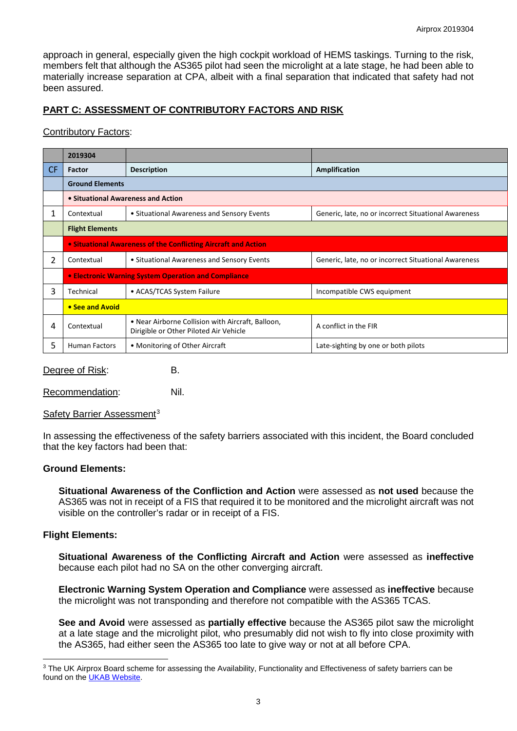approach in general, especially given the high cockpit workload of HEMS taskings. Turning to the risk, members felt that although the AS365 pilot had seen the microlight at a late stage, he had been able to materially increase separation at CPA, albeit with a final separation that indicated that safety had not been assured.

# **PART C: ASSESSMENT OF CONTRIBUTORY FACTORS AND RISK**

# Contributory Factors:

|     | 2019304                                                        |                                                                                             |                                                      |
|-----|----------------------------------------------------------------|---------------------------------------------------------------------------------------------|------------------------------------------------------|
| CF. | <b>Factor</b>                                                  | <b>Description</b>                                                                          | Amplification                                        |
|     | <b>Ground Elements</b>                                         |                                                                                             |                                                      |
|     | • Situational Awareness and Action                             |                                                                                             |                                                      |
| 1   | Contextual                                                     | • Situational Awareness and Sensory Events                                                  | Generic, late, no or incorrect Situational Awareness |
|     | <b>Flight Elements</b>                                         |                                                                                             |                                                      |
|     | • Situational Awareness of the Conflicting Aircraft and Action |                                                                                             |                                                      |
| 2   | Contextual                                                     | • Situational Awareness and Sensory Events                                                  | Generic, late, no or incorrect Situational Awareness |
|     | • Electronic Warning System Operation and Compliance           |                                                                                             |                                                      |
| 3   | Technical                                                      | • ACAS/TCAS System Failure                                                                  | Incompatible CWS equipment                           |
|     | • See and Avoid                                                |                                                                                             |                                                      |
| 4   | Contextual                                                     | • Near Airborne Collision with Aircraft, Balloon,<br>Dirigible or Other Piloted Air Vehicle | A conflict in the FIR                                |
| 5   | <b>Human Factors</b>                                           | • Monitoring of Other Aircraft                                                              | Late-sighting by one or both pilots                  |

Degree of Risk: B.

Recommendation: Nil.

Safety Barrier Assessment<sup>[3](#page-2-0)</sup>

In assessing the effectiveness of the safety barriers associated with this incident, the Board concluded that the key factors had been that:

# **Ground Elements:**

**Situational Awareness of the Confliction and Action** were assessed as **not used** because the AS365 was not in receipt of a FIS that required it to be monitored and the microlight aircraft was not visible on the controller's radar or in receipt of a FIS.

# **Flight Elements:**

 $\overline{\phantom{a}}$ 

**Situational Awareness of the Conflicting Aircraft and Action** were assessed as **ineffective** because each pilot had no SA on the other converging aircraft.

**Electronic Warning System Operation and Compliance** were assessed as **ineffective** because the microlight was not transponding and therefore not compatible with the AS365 TCAS.

**See and Avoid** were assessed as **partially effective** because the AS365 pilot saw the microlight at a late stage and the microlight pilot, who presumably did not wish to fly into close proximity with the AS365, had either seen the AS365 too late to give way or not at all before CPA.

<span id="page-2-0"></span><sup>&</sup>lt;sup>3</sup> The UK Airprox Board scheme for assessing the Availability, Functionality and Effectiveness of safety barriers can be found on the [UKAB Website.](http://www.airproxboard.org.uk/Learn-more/Airprox-Barrier-Assessment/)